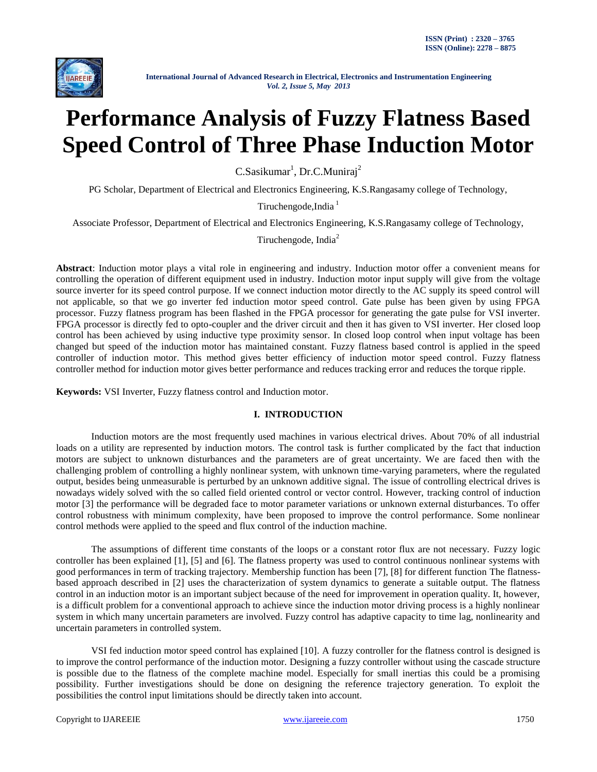

# **Performance Analysis of Fuzzy Flatness Based Speed Control of Three Phase Induction Motor**

C.Sasikumar<sup>1</sup>, Dr.C.Muniraj<sup>2</sup>

PG Scholar, Department of Electrical and Electronics Engineering, K.S.Rangasamy college of Technology,

Tiruchengode, India<sup>1</sup>

Associate Professor, Department of Electrical and Electronics Engineering, K.S.Rangasamy college of Technology,

Tiruchengode, India<sup>2</sup>

**Abstract**: Induction motor plays a vital role in engineering and industry. Induction motor offer a convenient means for controlling the operation of different equipment used in industry. Induction motor input supply will give from the voltage source inverter for its speed control purpose. If we connect induction motor directly to the AC supply its speed control will not applicable, so that we go inverter fed induction motor speed control. Gate pulse has been given by using FPGA processor. Fuzzy flatness program has been flashed in the FPGA processor for generating the gate pulse for VSI inverter. FPGA processor is directly fed to opto-coupler and the driver circuit and then it has given to VSI inverter. Her closed loop control has been achieved by using inductive type proximity sensor. In closed loop control when input voltage has been changed but speed of the induction motor has maintained constant. Fuzzy flatness based control is applied in the speed controller of induction motor. This method gives better efficiency of induction motor speed control. Fuzzy flatness controller method for induction motor gives better performance and reduces tracking error and reduces the torque ripple.

**Keywords:** VSI Inverter, Fuzzy flatness control and Induction motor.

#### **I. INTRODUCTION**

Induction motors are the most frequently used machines in various electrical drives. About 70% of all industrial loads on a utility are represented by induction motors. The control task is further complicated by the fact that induction motors are subject to unknown disturbances and the parameters are of great uncertainty. We are faced then with the challenging problem of controlling a highly nonlinear system, with unknown time-varying parameters, where the regulated output, besides being unmeasurable is perturbed by an unknown additive signal. The issue of controlling electrical drives is nowadays widely solved with the so called field oriented control or vector control. However, tracking control of induction motor [3] the performance will be degraded face to motor parameter variations or unknown external disturbances. To offer control robustness with minimum complexity, have been proposed to improve the control performance. Some nonlinear control methods were applied to the speed and flux control of the induction machine.

The assumptions of different time constants of the loops or a constant rotor flux are not necessary. Fuzzy logic controller has been explained [1], [5] and [6]. The flatness property was used to control continuous nonlinear systems with good performances in term of tracking trajectory. Membership function has been [7], [8] for different function The flatnessbased approach described in [2] uses the characterization of system dynamics to generate a suitable output. The flatness control in an induction motor is an important subject because of the need for improvement in operation quality. It, however, is a difficult problem for a conventional approach to achieve since the induction motor driving process is a highly nonlinear system in which many uncertain parameters are involved. Fuzzy control has adaptive capacity to time lag, nonlinearity and uncertain parameters in controlled system.

VSI fed induction motor speed control has explained [10]. A fuzzy controller for the flatness control is designed is to improve the control performance of the induction motor. Designing a fuzzy controller without using the cascade structure is possible due to the flatness of the complete machine model. Especially for small inertias this could be a promising possibility. Further investigations should be done on designing the reference trajectory generation. To exploit the possibilities the control input limitations should be directly taken into account.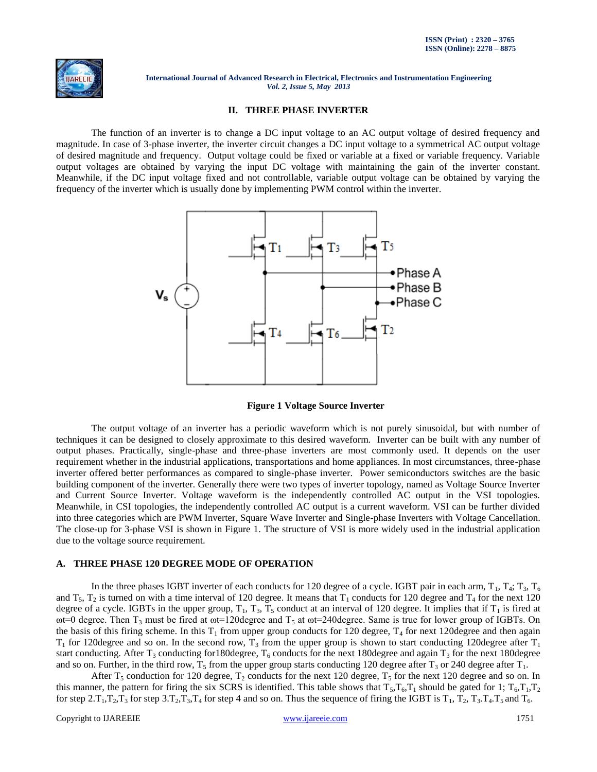

## **II. THREE PHASE INVERTER**

The function of an inverter is to change a DC input voltage to an AC output voltage of desired frequency and magnitude. In case of 3-phase inverter, the inverter circuit changes a DC input voltage to a symmetrical AC output voltage of desired magnitude and frequency. Output voltage could be fixed or variable at a fixed or variable frequency. Variable output voltages are obtained by varying the input DC voltage with maintaining the gain of the inverter constant. Meanwhile, if the DC input voltage fixed and not controllable, variable output voltage can be obtained by varying the frequency of the inverter which is usually done by implementing PWM control within the inverter.



**Figure 1 Voltage Source Inverter**

The output voltage of an inverter has a periodic waveform which is not purely sinusoidal, but with number of techniques it can be designed to closely approximate to this desired waveform. Inverter can be built with any number of output phases. Practically, single-phase and three-phase inverters are most commonly used. It depends on the user requirement whether in the industrial applications, transportations and home appliances. In most circumstances, three-phase inverter offered better performances as compared to single-phase inverter. Power semiconductors switches are the basic building component of the inverter. Generally there were two types of inverter topology, named as Voltage Source Inverter and Current Source Inverter. Voltage waveform is the independently controlled AC output in the VSI topologies. Meanwhile, in CSI topologies, the independently controlled AC output is a current waveform. VSI can be further divided into three categories which are PWM Inverter, Square Wave Inverter and Single-phase Inverters with Voltage Cancellation. The close-up for 3-phase VSI is shown in Figure 1. The structure of VSI is more widely used in the industrial application due to the voltage source requirement.

#### **A. THREE PHASE 120 DEGREE MODE OF OPERATION**

In the three phases IGBT inverter of each conducts for 120 degree of a cycle. IGBT pair in each arm,  $T_1$ ,  $T_4$ ;  $T_3$ ,  $T_6$ and  $T_5$ ,  $T_2$  is turned on with a time interval of 120 degree. It means that  $T_1$  conducts for 120 degree and  $T_4$  for the next 120 degree of a cycle. IGBTs in the upper group,  $T_1$ ,  $T_3$ ,  $T_5$  conduct at an interval of 120 degree. It implies that if  $T_1$  is fired at ωt=0 degree. Then T<sub>3</sub> must be fired at ωt=120degree and T<sub>5</sub> at ωt=240degree. Same is true for lower group of IGBTs. On the basis of this firing scheme. In this  $T_1$  from upper group conducts for 120 degree,  $T_4$  for next 120 degree and then again  $T_1$  for 120degree and so on. In the second row,  $T_3$  from the upper group is shown to start conducting 120degree after  $T_1$ start conducting. After  $T_3$  conducting for 180degree,  $T_6$  conducts for the next 180degree and again  $T_3$  for the next 180degree and so on. Further, in the third row,  $T_5$  from the upper group starts conducting 120 degree after  $T_3$  or 240 degree after  $T_1$ .

After  $T_5$  conduction for 120 degree,  $T_2$  conducts for the next 120 degree,  $T_5$  for the next 120 degree and so on. In this manner, the pattern for firing the six SCRS is identified. This table shows that  $T_5$ , $T_6$ , $T_1$  should be gated for 1;  $T_6$ , $T_1$ , $T_2$ for step  $2.\text{T}_1,\text{T}_2,\text{T}_3$  for step  $3.\text{T}_2,\text{T}_3,\text{T}_4$  for step 4 and so on. Thus the sequence of firing the IGBT is  $\text{T}_1$ ,  $\text{T}_2$ ,  $\text{T}_3.\text{T}_4.\text{T}_5$  and  $\text{T}_6$ .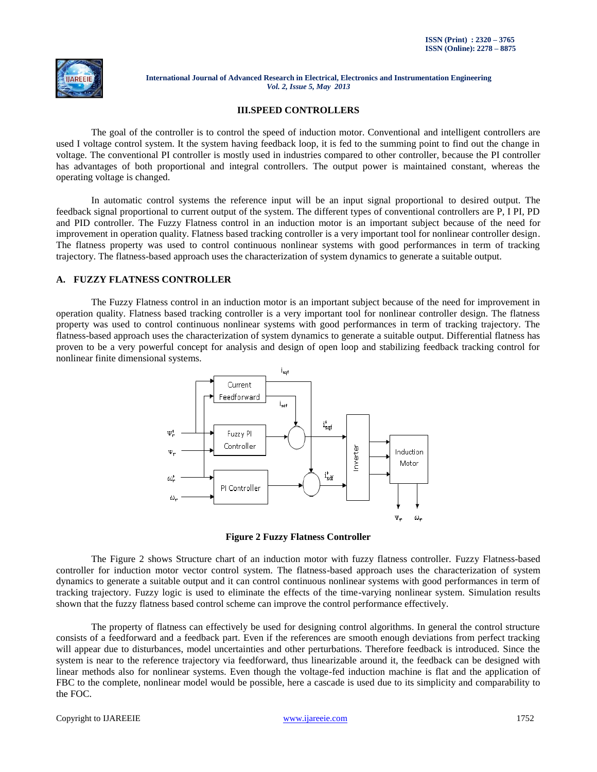

# **III.SPEED CONTROLLERS**

The goal of the controller is to control the speed of induction motor. Conventional and intelligent controllers are used I voltage control system. It the system having feedback loop, it is fed to the summing point to find out the change in voltage. The conventional PI controller is mostly used in industries compared to other controller, because the PI controller has advantages of both proportional and integral controllers. The output power is maintained constant, whereas the operating voltage is changed.

In automatic control systems the reference input will be an input signal proportional to desired output. The feedback signal proportional to current output of the system. The different types of conventional controllers are P, I PI, PD and PID controller. The Fuzzy Flatness control in an induction motor is an important subject because of the need for improvement in operation quality. Flatness based tracking controller is a very important tool for nonlinear controller design. The flatness property was used to control continuous nonlinear systems with good performances in term of tracking trajectory. The flatness-based approach uses the characterization of system dynamics to generate a suitable output.

#### **A. FUZZY FLATNESS CONTROLLER**

The Fuzzy Flatness control in an induction motor is an important subject because of the need for improvement in operation quality. Flatness based tracking controller is a very important tool for nonlinear controller design. The flatness property was used to control continuous nonlinear systems with good performances in term of tracking trajectory. The flatness-based approach uses the characterization of system dynamics to generate a suitable output. Differential flatness has proven to be a very powerful concept for analysis and design of open loop and stabilizing feedback tracking control for nonlinear finite dimensional systems.



**Figure 2 Fuzzy Flatness Controller**

The Figure 2 shows Structure chart of an induction motor with fuzzy flatness controller. Fuzzy Flatness-based controller for induction motor vector control system. The flatness-based approach uses the characterization of system dynamics to generate a suitable output and it can control continuous nonlinear systems with good performances in term of tracking trajectory. Fuzzy logic is used to eliminate the effects of the time-varying nonlinear system. Simulation results shown that the fuzzy flatness based control scheme can improve the control performance effectively.

The property of flatness can effectively be used for designing control algorithms. In general the control structure consists of a feedforward and a feedback part. Even if the references are smooth enough deviations from perfect tracking will appear due to disturbances, model uncertainties and other perturbations. Therefore feedback is introduced. Since the system is near to the reference trajectory via feedforward, thus linearizable around it, the feedback can be designed with linear methods also for nonlinear systems. Even though the voltage-fed induction machine is flat and the application of FBC to the complete, nonlinear model would be possible, here a cascade is used due to its simplicity and comparability to the FOC.

#### Copyright to IJAREEIE [www.ijareeie.com](http://www.ijareeie.com/) 1752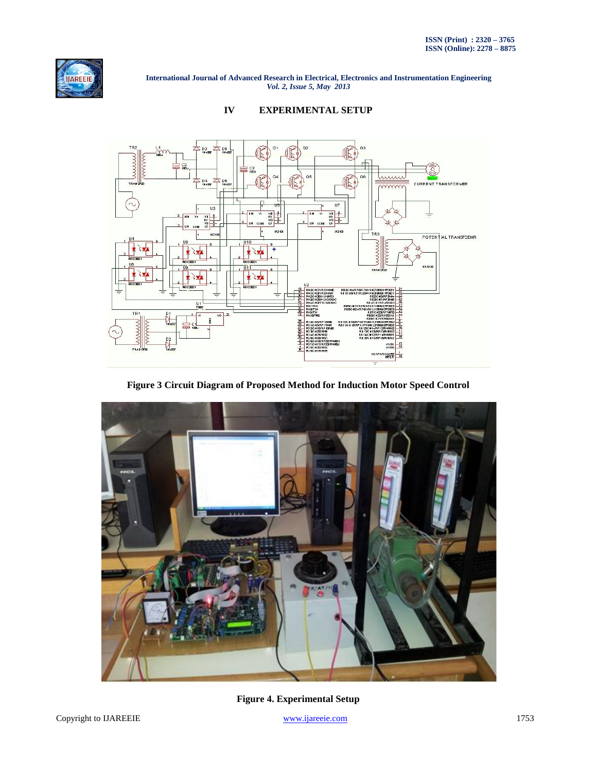





**Figure 3 Circuit Diagram of Proposed Method for Induction Motor Speed Control**



**Figure 4. Experimental Setup**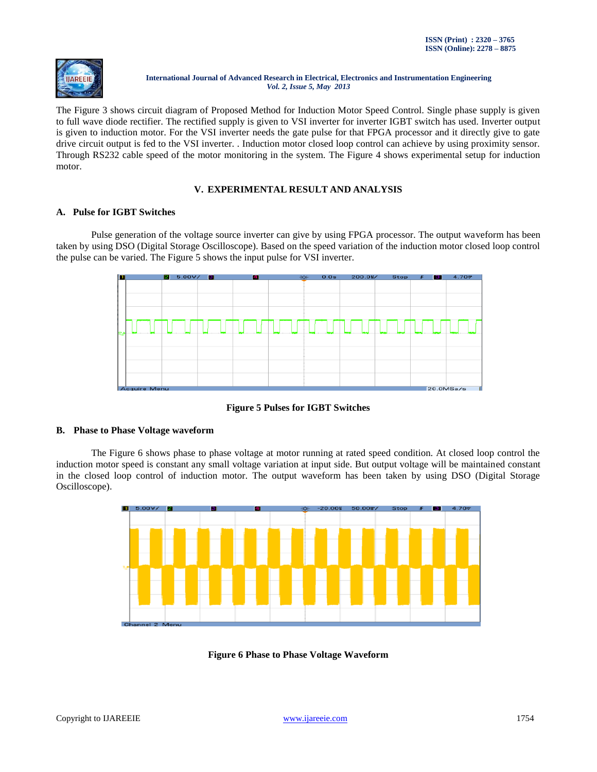

The Figure 3 shows circuit diagram of Proposed Method for Induction Motor Speed Control. Single phase supply is given to full wave diode rectifier. The rectified supply is given to VSI inverter for inverter IGBT switch has used. Inverter output is given to induction motor. For the VSI inverter needs the gate pulse for that FPGA processor and it directly give to gate drive circuit output is fed to the VSI inverter. . Induction motor closed loop control can achieve by using proximity sensor. Through RS232 cable speed of the motor monitoring in the system. The Figure 4 shows experimental setup for induction motor.

# **V. EXPERIMENTAL RESULT AND ANALYSIS**

# **A. Pulse for IGBT Switches**

Pulse generation of the voltage source inverter can give by using FPGA processor. The output waveform has been taken by using DSO (Digital Storage Oscilloscope). Based on the speed variation of the induction motor closed loop control the pulse can be varied. The Figure 5 shows the input pulse for VSI inverter.



**Figure 5 Pulses for IGBT Switches**

# **B. Phase to Phase Voltage waveform**

The Figure 6 shows phase to phase voltage at motor running at rated speed condition. At closed loop control the induction motor speed is constant any small voltage variation at input side. But output voltage will be maintained constant in the closed loop control of induction motor. The output waveform has been taken by using DSO (Digital Storage Oscilloscope).



**Figure 6 Phase to Phase Voltage Waveform**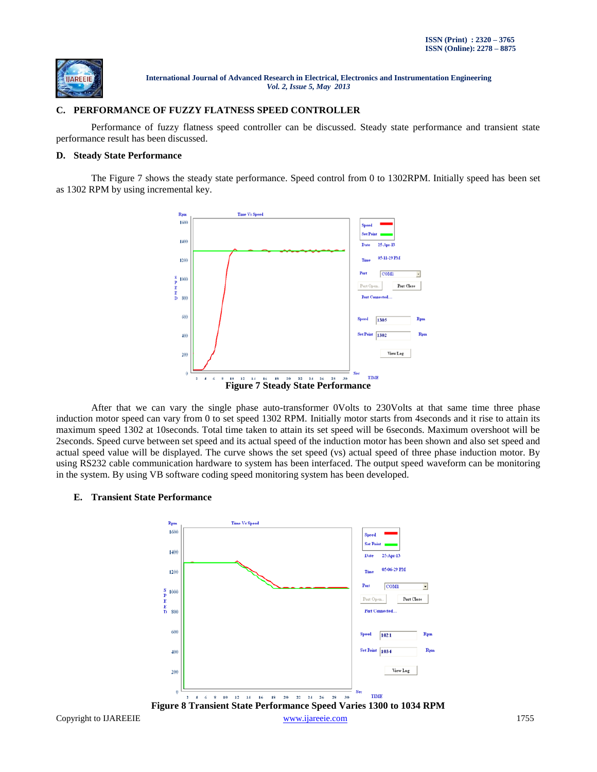

# **C. PERFORMANCE OF FUZZY FLATNESS SPEED CONTROLLER**

Performance of fuzzy flatness speed controller can be discussed. Steady state performance and transient state performance result has been discussed.

## **D. Steady State Performance**

The Figure 7 shows the steady state performance. Speed control from 0 to 1302RPM. Initially speed has been set as 1302 RPM by using incremental key.



After that we can vary the single phase auto-transformer 0Volts to 230Volts at that same time three phase induction motor speed can vary from 0 to set speed 1302 RPM. Initially motor starts from 4seconds and it rise to attain its maximum speed 1302 at 10seconds. Total time taken to attain its set speed will be 6seconds. Maximum overshoot will be 2seconds. Speed curve between set speed and its actual speed of the induction motor has been shown and also set speed and actual speed value will be displayed. The curve shows the set speed (vs) actual speed of three phase induction motor. By using RS232 cable communication hardware to system has been interfaced. The output speed waveform can be monitoring in the system. By using VB software coding speed monitoring system has been developed.

#### **E. Transient State Performance**

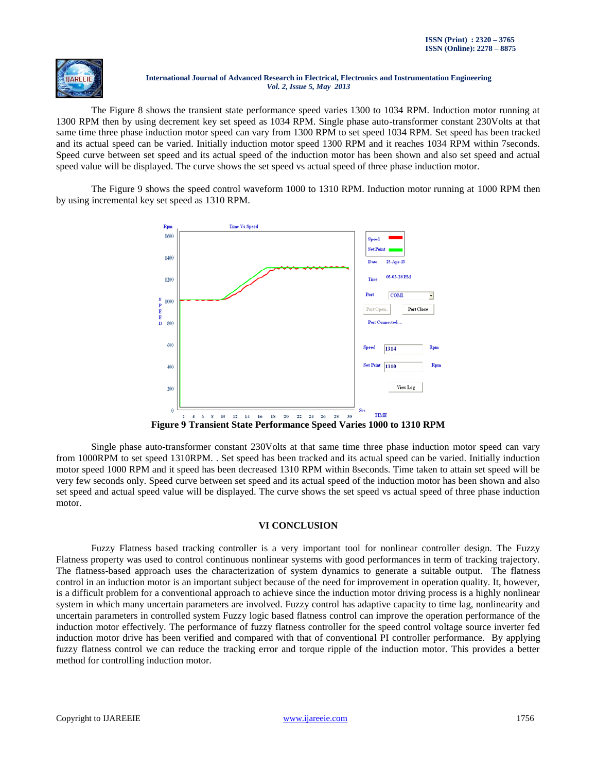

The Figure 8 shows the transient state performance speed varies 1300 to 1034 RPM. Induction motor running at 1300 RPM then by using decrement key set speed as 1034 RPM. Single phase auto-transformer constant 230Volts at that same time three phase induction motor speed can vary from 1300 RPM to set speed 1034 RPM. Set speed has been tracked and its actual speed can be varied. Initially induction motor speed 1300 RPM and it reaches 1034 RPM within 7seconds. Speed curve between set speed and its actual speed of the induction motor has been shown and also set speed and actual speed value will be displayed. The curve shows the set speed vs actual speed of three phase induction motor.

The Figure 9 shows the speed control waveform 1000 to 1310 RPM. Induction motor running at 1000 RPM then by using incremental key set speed as 1310 RPM.



**Figure 9 Transient State Performance Speed Varies 1000 to 1310 RPM**

Single phase auto-transformer constant 230Volts at that same time three phase induction motor speed can vary from 1000RPM to set speed 1310RPM. . Set speed has been tracked and its actual speed can be varied. Initially induction motor speed 1000 RPM and it speed has been decreased 1310 RPM within 8seconds. Time taken to attain set speed will be very few seconds only. Speed curve between set speed and its actual speed of the induction motor has been shown and also set speed and actual speed value will be displayed. The curve shows the set speed vs actual speed of three phase induction motor.

# **VI CONCLUSION**

Fuzzy Flatness based tracking controller is a very important tool for nonlinear controller design. The Fuzzy Flatness property was used to control continuous nonlinear systems with good performances in term of tracking trajectory. The flatness-based approach uses the characterization of system dynamics to generate a suitable output. The flatness control in an induction motor is an important subject because of the need for improvement in operation quality. It, however, is a difficult problem for a conventional approach to achieve since the induction motor driving process is a highly nonlinear system in which many uncertain parameters are involved. Fuzzy control has adaptive capacity to time lag, nonlinearity and uncertain parameters in controlled system Fuzzy logic based flatness control can improve the operation performance of the induction motor effectively. The performance of fuzzy flatness controller for the speed control voltage source inverter fed induction motor drive has been verified and compared with that of conventional PI controller performance. By applying fuzzy flatness control we can reduce the tracking error and torque ripple of the induction motor. This provides a better method for controlling induction motor.